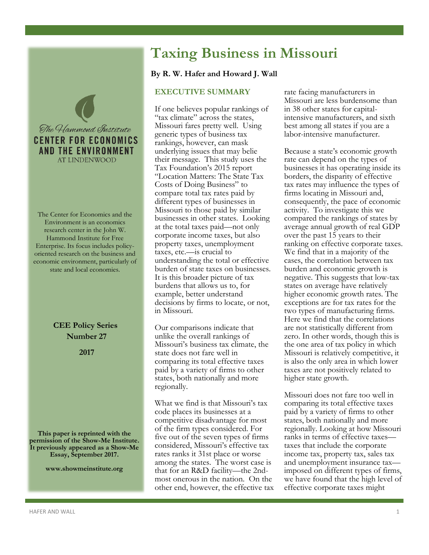

The Center for Economics and the Environment is an economics research center in the John W. Hammond Institute for Free Enterprise. Its focus includes policyoriented research on the business and economic environment, particularly of state and local economies.

> **CEE Policy Series Number 27**

> > **2017**

**This paper is reprinted with the permission of the Show-Me Institute. It previously appeared as a Show-Me Essay, September 2017.**

**www.showmeinstitute.org**

# **Taxing Business in Missouri**

## **By R. W. Hafer and Howard J. Wall**

# **EXECUTIVE SUMMARY**

If one believes popular rankings of "tax climate" across the states, Missouri fares pretty well. Using generic types of business tax rankings, however, can mask underlying issues that may belie their message. This study uses the Tax Foundation's 2015 report "Location Matters: The State Tax Costs of Doing Business" to compare total tax rates paid by different types of businesses in Missouri to those paid by similar businesses in other states. Looking at the total taxes paid—not only corporate income taxes, but also property taxes, unemployment taxes, etc.—is crucial to understanding the total or effective burden of state taxes on businesses. It is this broader picture of tax burdens that allows us to, for example, better understand decisions by firms to locate, or not, in Missouri.

Our comparisons indicate that unlike the overall rankings of Missouri's business tax climate, the state does not fare well in comparing its total effective taxes paid by a variety of firms to other states, both nationally and more regionally.

What we find is that Missouri's tax code places its businesses at a competitive disadvantage for most of the firm types considered. For five out of the seven types of firms considered, Missouri's effective tax rates ranks it 31st place or worse among the states. The worst case is that for an R&D facility—the 2ndmost onerous in the nation. On the other end, however, the effective tax rate facing manufacturers in Missouri are less burdensome than in 38 other states for capitalintensive manufacturers, and sixth best among all states if you are a labor-intensive manufacturer.

Because a state's economic growth rate can depend on the types of businesses it has operating inside its borders, the disparity of effective tax rates may influence the types of firms locating in Missouri and, consequently, the pace of economic activity. To investigate this we compared the rankings of states by average annual growth of real GDP over the past 15 years to their ranking on effective corporate taxes. We find that in a majority of the cases, the correlation between tax burden and economic growth is negative. This suggests that low-tax states on average have relatively higher economic growth rates. The exceptions are for tax rates for the two types of manufacturing firms. Here we find that the correlations are not statistically different from zero. In other words, though this is the one area of tax policy in which Missouri is relatively competitive, it is also the only area in which lower taxes are not positively related to higher state growth.

Missouri does not fare too well in comparing its total effective taxes paid by a variety of firms to other states, both nationally and more regionally. Looking at how Missouri ranks in terms of effective taxes taxes that include the corporate income tax, property tax, sales tax and unemployment insurance tax imposed on different types of firms, we have found that the high level of effective corporate taxes might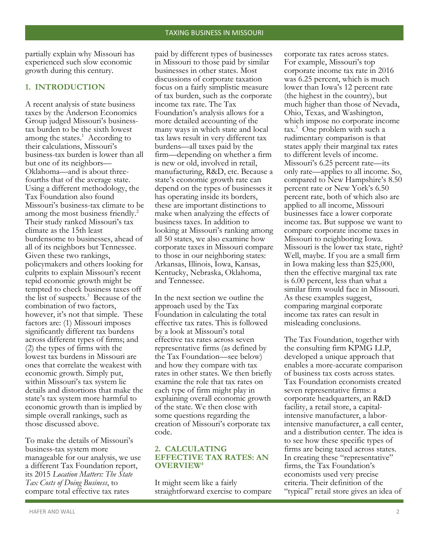partially explain why Missouri has experienced such slow economic growth during this century.

## **1. INTRODUCTION**

A recent analysis of state business taxes by the Anderson Economics Group judged Missouri's businesstax burden to be the sixth lowest among the states. $<sup>1</sup>$  According to</sup> their calculations, Missouri's business-tax burden is lower than all but one of its neighbors— Oklahoma—and is about threefourths that of the average state. Using a different methodology, the Tax Foundation also found Missouri's business-tax climate to be among the most business friendly.<sup>2</sup> Their study ranked Missouri's tax climate as the 15th least burdensome to businesses, ahead of all of its neighbors but Tennessee. Given these two rankings, policymakers and others looking for culprits to explain Missouri's recent tepid economic growth might be tempted to check business taxes off the list of suspects.<sup>3</sup> Because of the combination of two factors, however, it's not that simple. These factors are: (1) Missouri imposes significantly different tax burdens across different types of firms; and (2) the types of firms with the lowest tax burdens in Missouri are ones that correlate the weakest with economic growth. Simply put, within Missouri's tax system lie details and distortions that make the state's tax system more harmful to economic growth than is implied by simple overall rankings, such as those discussed above.

To make the details of Missouri's business-tax system more manageable for our analysis, we use a different Tax Foundation report, its 2015 *Location Matters: The State Tax Costs of Doing Business*, to compare total effective tax rates

paid by different types of businesses in Missouri to those paid by similar businesses in other states. Most discussions of corporate taxation focus on a fairly simplistic measure of tax burden, such as the corporate income tax rate. The Tax Foundation's analysis allows for a more detailed accounting of the many ways in which state and local tax laws result in very different tax burdens—all taxes paid by the firm—depending on whether a firm is new or old, involved in retail, manufacturing, R&D, etc. Because a state's economic growth rate can depend on the types of businesses it has operating inside its borders, these are important distinctions to make when analyzing the effects of business taxes. In addition to looking at Missouri's ranking among all 50 states, we also examine how corporate taxes in Missouri compare to those in our neighboring states: Arkansas, Illinois, Iowa, Kansas, Kentucky, Nebraska, Oklahoma, and Tennessee.

In the next section we outline the approach used by the Tax Foundation in calculating the total effective tax rates. This is followed by a look at Missouri's total effective tax rates across seven representative firms (as defined by the Tax Foundation—see below) and how they compare with tax rates in other states. We then briefly examine the role that tax rates on each type of firm might play in explaining overall economic growth of the state. We then close with some questions regarding the creation of Missouri's corporate tax code.

### **2. CALCULATING EFFECTIVE TAX RATES: AN OVERVIEW<sup>4</sup>**

It might seem like a fairly straightforward exercise to compare corporate tax rates across states. For example, Missouri's top corporate income tax rate in 2016 was 6.25 percent, which is much lower than Iowa's 12 percent rate (the highest in the country), but much higher than those of Nevada, Ohio, Texas, and Washington, which impose no corporate income tax.<sup>5</sup> One problem with such a rudimentary comparison is that states apply their marginal tax rates to different levels of income. Missouri's 6.25 percent rate—its only rate—applies to all income. So, compared to New Hampshire's 8.50 percent rate or New York's 6.50 percent rate, both of which also are applied to all income, Missouri businesses face a lower corporate income tax. But suppose we want to compare corporate income taxes in Missouri to neighboring Iowa. Missouri is the lower tax state, right? Well, maybe. If you are a small firm in Iowa making less than \$25,000, then the effective marginal tax rate is 6.00 percent, less than what a similar firm would face in Missouri. As these examples suggest, comparing marginal corporate income tax rates can result in misleading conclusions.

The Tax Foundation, together with the consulting firm KPMG LLP, developed a unique approach that enables a more-accurate comparison of business tax costs across states. Tax Foundation economists created seven representative firms: a corporate headquarters, an R&D facility, a retail store, a capitalintensive manufacturer, a laborintensive manufacturer, a call center, and a distribution center. The idea is to see how these specific types of firms are being taxed across states. In creating these "representative" firms, the Tax Foundation's economists used very precise criteria. Their definition of the "typical" retail store gives an idea of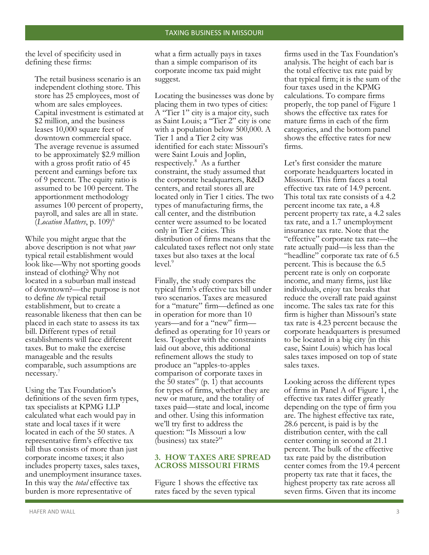the level of specificity used in defining these firms:

The retail business scenario is an independent clothing store. This store has 25 employees, most of whom are sales employees. Capital investment is estimated at \$2 million, and the business leases 10,000 square feet of downtown commercial space. The average revenue is assumed to be approximately \$2.9 million with a gross profit ratio of 45 percent and earnings before tax of 9 percent. The equity ratio is assumed to be 100 percent. The apportionment methodology assumes 100 percent of property, payroll, and sales are all in state. (*Location Matters*, p. 109)<sup>6</sup>

While you might argue that the above description is not what *your* typical retail establishment would look like—Why not sporting goods instead of clothing? Why not located in a suburban mall instead of downtown?—the purpose is not to define *the* typical retail establishment, but to create a reasonable likeness that then can be placed in each state to assess its tax bill. Different types of retail establishments will face different taxes. But to make the exercise manageable and the results comparable, such assumptions are necessary.<sup>7</sup>

Using the Tax Foundation's definitions of the seven firm types, tax specialists at KPMG LLP calculated what each would pay in state and local taxes if it were located in each of the 50 states. A representative firm's effective tax bill thus consists of more than just corporate income taxes; it also includes property taxes, sales taxes, and unemployment insurance taxes. In this way the *total* effective tax burden is more representative of

what a firm actually pays in taxes than a simple comparison of its corporate income tax paid might suggest.

Locating the businesses was done by placing them in two types of cities: A "Tier 1" city is a major city, such as Saint Louis; a "Tier 2" city is one with a population below 500,000. A Tier 1 and a Tier 2 city was identified for each state: Missouri's were Saint Louis and Joplin, respectively.<sup>8</sup> As a further constraint, the study assumed that the corporate headquarters, R&D centers, and retail stores all are located only in Tier 1 cities. The two types of manufacturing firms, the call center, and the distribution center were assumed to be located only in Tier 2 cities. This distribution of firms means that the calculated taxes reflect not only state taxes but also taxes at the local  $level.<sup>9</sup>$ 

Finally, the study compares the typical firm's effective tax bill under two scenarios. Taxes are measured for a "mature" firm—defined as one in operation for more than 10 years—and for a "new" firm defined as operating for 10 years or less. Together with the constraints laid out above, this additional refinement allows the study to produce an "apples-to-apples comparison of corporate taxes in the 50 states"  $(p. 1)$  that accounts for types of firms, whether they are new or mature, and the totality of taxes paid—state and local, income and other. Using this information we'll try first to address the question: "Is Missouri a low (business) tax state?"

## **3. HOW TAXES ARE SPREAD ACROSS MISSOURI FIRMS**

Figure 1 shows the effective tax rates faced by the seven typical

firms used in the Tax Foundation's analysis. The height of each bar is the total effective tax rate paid by that typical firm; it is the sum of the four taxes used in the KPMG calculations. To compare firms properly, the top panel of Figure 1 shows the effective tax rates for mature firms in each of the firm categories, and the bottom panel shows the effective rates for new firms.

Let's first consider the mature corporate headquarters located in Missouri. This firm faces a total effective tax rate of 14.9 percent. This total tax rate consists of a 4.2 percent income tax rate, a 4.8 percent property tax rate, a 4.2 sales tax rate, and a 1.7 unemployment insurance tax rate. Note that the "effective" corporate tax rate—the rate actually paid—is less than the "headline" corporate tax rate of 6.5 percent. This is because the 6.5 percent rate is only on corporate income, and many firms, just like individuals, enjoy tax breaks that reduce the overall rate paid against income. The sales tax rate for this firm is higher than Missouri's state tax rate is 4.23 percent because the corporate headquarters is presumed to be located in a big city (in this case, Saint Louis) which has local sales taxes imposed on top of state sales taxes.

Looking across the different types of firms in Panel A of Figure 1, the effective tax rates differ greatly depending on the type of firm you are. The highest effective tax rate, 28.6 percent, is paid is by the distribution center, with the call center coming in second at 21.1 percent. The bulk of the effective tax rate paid by the distribution center comes from the 19.4 percent property tax rate that it faces, the highest property tax rate across all seven firms. Given that its income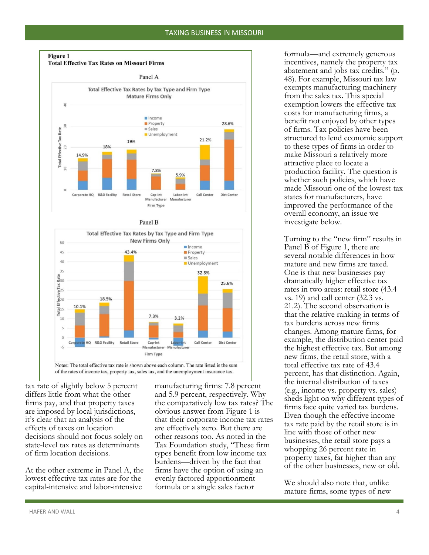



tax rate of slightly below 5 percent differs little from what the other firms pay, and that property taxes are imposed by local jurisdictions, it's clear that an analysis of the effects of taxes on location decisions should not focus solely on state-level tax rates as determinants of firm location decisions.

At the other extreme in Panel A, the lowest effective tax rates are for the capital-intensive and labor-intensive

manufacturing firms: 7.8 percent and 5.9 percent, respectively. Why the comparatively low tax rates? The obvious answer from Figure 1 is that their corporate income tax rates are effectively zero. But there are other reasons too. As noted in the Tax Foundation study, "These firm types benefit from low income tax burdens—driven by the fact that firms have the option of using an evenly factored apportionment formula or a single sales factor

formula—and extremely generous incentives, namely the property tax abatement and jobs tax credits." (p. 48). For example, Missouri tax law exempts manufacturing machinery from the sales tax. This special exemption lowers the effective tax costs for manufacturing firms, a benefit not enjoyed by other types of firms. Tax policies have been structured to lend economic support to these types of firms in order to make Missouri a relatively more attractive place to locate a production facility. The question is whether such policies, which have made Missouri one of the lowest-tax states for manufacturers, have improved the performance of the overall economy, an issue we investigate below.

Turning to the "new firm" results in Panel  $\overline{B}$  of Figure 1, there are several notable differences in how mature and new firms are taxed. One is that new businesses pay dramatically higher effective tax rates in two areas: retail store (43.4 vs. 19) and call center (32.3 vs. 21.2). The second observation is that the relative ranking in terms of tax burdens across new firms changes. Among mature firms, for example, the distribution center paid the highest effective tax. But among new firms, the retail store, with a total effective tax rate of 43.4 percent, has that distinction. Again, the internal distribution of taxes (e.g., income vs. property vs. sales) sheds light on why different types of firms face quite varied tax burdens. Even though the effective income tax rate paid by the retail store is in line with those of other new businesses, the retail store pays a whopping 26 percent rate in property taxes, far higher than any of the other businesses, new or old.

We should also note that, unlike mature firms, some types of new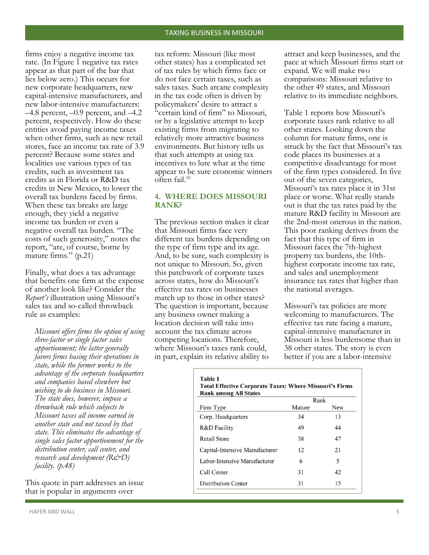firms enjoy a negative income tax rate. (In Figure 1 negative tax rates appear as that part of the bar that lies below zero.) This occurs for new corporate headquarters, new capital-intensive manufacturers, and new labor-intensive manufacturers:  $-4.8$  percent,  $-0.9$  percent, and  $-4.2$ percent, respectively. How do these entities avoid paying income taxes when other firms, such as new retail stores, face an income tax rate of 3.9 percent? Because some states and localities use various types of tax credits, such as investment tax credits as in Florida or R&D tax credits in New Mexico, to lower the overall tax burdens faced by firms. When these tax breaks are large enough, they yield a negative income tax burden or even a negative overall tax burden. "The costs of such generosity," notes the report, "are, of course, borne by mature firms." (p.21)

Finally, what does a tax advantage that benefits one firm at the expense of another look like? Consider the *Report's* illustration using Missouri's sales tax and so-called throwback rule as examples:

*Missouri offers firms the option of using three-factor or single factor sales apportionment; the latter generally favors firms basing their operations in state, while the former works to the advantage of the corporate headquarters and companies based elsewhere but wishing to do business in Missouri. The state does, however, impose a throwback rule which subjects to Missouri taxes all income earned in another state and not taxed by that state. This eliminates the advantage of single sales factor apportionment for the distribution center, call center, and research and development (R&D) facility. (p.48)*

This quote in part addresses an issue that is popular in arguments over

tax reform: Missouri (like most other states) has a complicated set of tax rules by which firms face or do not face certain taxes, such as sales taxes. Such arcane complexity in the tax code often is driven by policymakers' desire to attract a "certain kind of firm" to Missouri, or by a legislative attempt to keep existing firms from migrating to relatively more attractive business environments. But history tells us that such attempts at using tax incentives to lure what at the time appear to be sure economic winners often fail.<sup>10</sup>  $\overline{a}$ 

### **4. WHERE DOES MISSOURI RANK?**

The previous section makes it clear that Missouri firms face very different tax burdens depending on the type of firm type and its age. And, to be sure, such complexity is not unique to Missouri. So, given this patchwork of corporate taxes across states, how do Missouri's effective tax rates on businesses match up to those in other states? The question is important, because any business owner making a location decision will take into account the tax climate across competing locations. Therefore, where Missouri's taxes rank could, in part, explain its relative ability to

attract and keep businesses, and the pace at which Missouri firms start or expand. We will make two comparisons: Missouri relative to the other 49 states, and Missouri relative to its immediate neighbors.

Table 1 reports how Missouri's corporate taxes rank relative to all other states. Looking down the column for mature firms, one is struck by the fact that Missouri's tax code places its businesses at a competitive disadvantage for most of the firm types considered. In five out of the seven categories, Missouri's tax rates place it in 31st place or worse. What really stands out is that the tax rates paid by the mature R&D facility in Missouri are the 2nd-most onerous in the nation. This poor ranking derives from the fact that this type of firm in Missouri faces the 7th-highest property tax burdens, the 10thhighest corporate income tax rate, and sales and unemployment insurance tax rates that higher than the national averages.

Missouri's tax policies are more welcoming to manufacturers. The effective tax rate facing a mature, capital-intensive manufacturer in Missouri is less burdensome than in 38 other states. The story is even better if you are a labor-intensive

|                                | Rank   |            |
|--------------------------------|--------|------------|
| Firm Type                      | Mature | <b>New</b> |
| Corp. Headquarters             | 34     | 13         |
| R&D Facility                   | 49     | 44         |
| <b>Retail Store</b>            | 38     | 47         |
| Capital-Intensive Manufacturer | 12     | 21         |
| Labor-Intensive Manufacturer   | 6      | 5          |
| Call Center                    | 31     | 42         |
| <b>Distribution Center</b>     | 31     | 15         |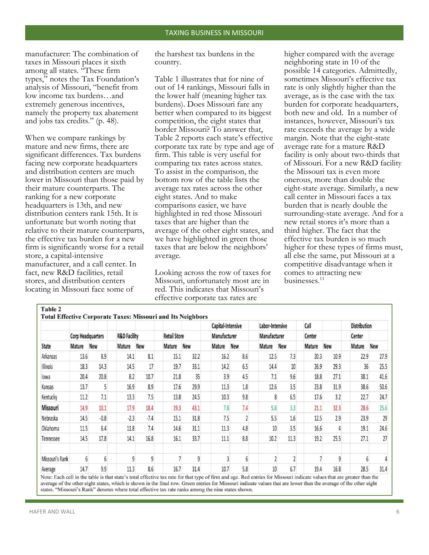manufacturer: The combination of taxes in Missouri places it sixth among all states. "These firm types," notes the Tax Foundation's analysis of Missouri, "benefit from low income tax burdens…and extremely generous incentives, namely the property tax abatement and jobs tax credits." (p. 48).

When we compare rankings by mature and new firms, there are significant differences. Tax burdens facing new corporate headquarters and distribution centers are much lower in Missouri than those paid by their mature counterparts. The ranking for a new corporate headquarters is 13th, and new distribution centers rank 15th. It is unfortunate but worth noting that relative to their mature counterparts, the effective tax burden for a new firm is significantly worse for a retail store, a capital-intensive manufacturer, and a call center. In fact, new R&D facilities, retail stores, and distribution centers locating in Missouri face some of

the harshest tax burdens in the country.

Table 1 illustrates that for nine of out of 14 rankings, Missouri falls in the lower half (meaning higher tax burdens). Does Missouri fare any better when compared to its biggest competition, the eight states that border Missouri? To answer that, Table 2 reports each state's effective corporate tax rate by type and age of firm. This table is very useful for comparing tax rates across states. To assist in the comparison, the bottom row of the table lists the average tax rates across the other eight states. And to make comparisons easier, we have highlighted in red those Missouri taxes that are higher than the average of the other eight states, and we have highlighted in green those taxes that are below the neighbors' average.

Looking across the row of taxes for Missouri, unfortunately most are in red. This indicates that Missouri's effective corporate tax rates are

higher compared with the average neighboring state in 10 of the possible 14 categories. Admittedly, sometimes Missouri's effective tax rate is only slightly higher than the average, as is the case with the tax burden for corporate headquarters, both new and old. In a number of instances, however, Missouri's tax rate exceeds the average by a wide margin. Note that the eight-state average rate for a mature R&D facility is only about two-thirds that of Missouri. For a new R&D facility the Missouri tax is even more onerous, more than double the eight-state average. Similarly, a new call center in Missouri faces a tax burden that is nearly double the surrounding-state average. And for a new retail stores it's more than a third higher. The fact that the effective tax burden is so much higher for these types of firms must, all else the same, put Missouri at a competitive disadvantage when it comes to attracting new businesses.11

|                 |                          |        |                         |        |                     |            | Capital-Intensive |            | Labor-Intensive |                | Call   |            | <b>Distribution</b> |            |
|-----------------|--------------------------|--------|-------------------------|--------|---------------------|------------|-------------------|------------|-----------------|----------------|--------|------------|---------------------|------------|
|                 | <b>Corp Headquarters</b> |        | <b>R&amp;D Facility</b> |        | <b>Retail Store</b> |            | Manufacturer      |            | Manufacturer    |                | Center | <b>New</b> | Center              | <b>New</b> |
| State           | Mature                   | New    | <b>Mature</b>           | New    | Mature              | <b>New</b> | Mature            | <b>New</b> | <b>Mature</b>   | <b>New</b>     | Mature |            | Mature              |            |
| Arkansas        | 13.6                     | 8.9    | 14.1                    | 8.1    | 15.1                | 32.2       | 16.2              | 8.6        | 12.5            | 7.3            | 20.3   | 10.9       | 22.9                | 27.9       |
| <b>Illinois</b> | 18.3                     | 14.3   | 14.5                    | 17     | 19.7                | 33.1       | 14.2              | 6.5        | 14.4            | 10             | 26.9   | 29.3       | 36                  | 25.5       |
| lowa            | 20.4                     | 20.8   | 8.2                     | 10.7   | 21.8                | 35         | 3.9               | 4.5        | 7.1             | 9.6            | 18.8   | 27.1       | 38.1                | 41.6       |
| Kansas          | 13.7                     | 5      | 16.9                    | 8.9    | 17.6                | 29.9       | 11.3              | 1.8        | 12.6            | 3.5            | 23.8   | 31.9       | 38.6                | 50.6       |
| Kentucky        | 11.2                     | 7.1    | 13.3                    | 7.5    | 13.8                | 24.5       | 10.3              | 9.8        |                 | 6.5            | 17.6   | 3.2        | 22.7                | 24.7       |
| Missouri        | 14.9                     | 10.1   | 17.9                    | 18.4   | 19.3                | 43.1       | 7.8               | 7.4        | 5.8             | 3.3            | 21.1   | 32.3       | 28.6                | 25.6       |
| Nebraska        | 14.5                     | $-0.8$ | $-2.3$                  | $-7.4$ | 15.1                | 31.8       | 7.5               |            | 5.5             | 1.6            | 12.5   | 2.9        | 23.9                | 29         |
| Oklahoma        | 11.5                     | 6.4    | 11.8                    | 7.4    | 14.6                | 31.1       | 11.3              | 4.8        | 10              | 3.5            | 16.6   |            | 19.1                | 24.6       |
| Tennessee       | 14.5                     | 17.8   | 14.1                    | 16.8   | 16.1                | 33.7       | 11.1              | 8.8        | 10.2            | 11.3           | 19.2   | 25.5       | 27.1                | 27         |
| Missouri's Rank | 6                        | 6      | 9                       | 9      |                     | 9          |                   | 6          |                 | $\overline{2}$ |        | 9          | $6 \overline{6}$    |            |
| Average         | 14.7                     | 9.9    | 11.3                    | 8.6    | 16.7                | 31.4       | 10.7              | 5.8        | 10              | 6.7            | 19.4   | 16.8       | 28.5                | 31.4       |

average of the other eight states, which is shown in the final row. Green entries for Missouri indicate values that are lower than the average of the other eight states. "Missouri's Rank" denotes where total effective tax rate ranks among the nine states shown.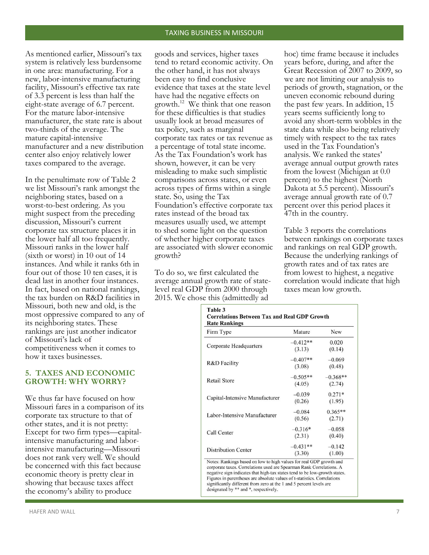As mentioned earlier, Missouri's tax system is relatively less burdensome in one area: manufacturing. For a new, labor-intensive manufacturing facility, Missouri's effective tax rate of 3.3 percent is less than half the eight-state average of 6.7 percent. For the mature labor-intensive manufacturer, the state rate is about two-thirds of the average. The mature capital-intensive manufacturer and a new distribution center also enjoy relatively lower taxes compared to the average.

In the penultimate row of Table 2 we list Missouri's rank amongst the neighboring states, based on a worst-to-best ordering. As you might suspect from the preceding discussion, Missouri's current corporate tax structure places it in the lower half all too frequently. Missouri ranks in the lower half (sixth or worst) in 10 out of 14 instances. And while it ranks 6th in four out of those 10 ten cases, it is dead last in another four instances. In fact, based on national rankings, the tax burden on R&D facilities in Missouri, both new and old, is the most oppressive compared to any of its neighboring states. These rankings are just another indicator of Missouri's lack of competitiveness when it comes to how it taxes businesses.

### **5. TAXES AND ECONOMIC GROWTH: WHY WORRY?**

We thus far have focused on how Missouri fares in a comparison of its corporate tax structure to that of other states, and it is not pretty: Except for two firm types—capitalintensive manufacturing and laborintensive manufacturing—Missouri does not rank very well. We should be concerned with this fact because economic theory is pretty clear in showing that because taxes affect the economy's ability to produce

goods and services, higher taxes tend to retard economic activity. On the other hand, it has not always been easy to find conclusive evidence that taxes at the state level have had the negative effects on growth.<sup>12</sup> We think that one reason for these difficulties is that studies usually look at broad measures of tax policy, such as marginal corporate tax rates or tax revenue as a percentage of total state income. As the Tax Foundation's work has shown, however, it can be very misleading to make such simplistic comparisons across states, or even across types of firms within a single state. So, using the Tax Foundation's effective corporate tax rates instead of the broad tax measures usually used, we attempt to shed some light on the question of whether higher corporate taxes are associated with slower economic growth?

To do so, we first calculated the average annual growth rate of statelevel real GDP from 2000 through 2015. We chose this (admittedly ad

hoc) time frame because it includes years before, during, and after the Great Recession of 2007 to 2009, so we are not limiting our analysis to periods of growth, stagnation, or the uneven economic rebound during the past few years. In addition, 15 years seems sufficiently long to avoid any short-term wobbles in the state data while also being relatively timely with respect to the tax rates used in the Tax Foundation's analysis. We ranked the states' average annual output growth rates from the lowest (Michigan at 0.0 percent) to the highest (North Dakota at 5.5 percent). Missouri's average annual growth rate of 0.7 percent over this period places it 47th in the country.

Table 3 reports the correlations between rankings on corporate taxes and rankings on real GDP growth. Because the underlying rankings of growth rates and of tax rates are from lowest to highest, a negative correlation would indicate that high taxes mean low growth.

| Firm Type                      | Mature     | <b>New</b> |  |
|--------------------------------|------------|------------|--|
|                                | $-0.412**$ | 0.020      |  |
| Corporate Headquarters         | (3.13)     | (0.14)     |  |
|                                | $-0.407**$ | $-0.069$   |  |
| R&D Facility                   | (3.08)     | (0.48)     |  |
|                                | $-0.505**$ | $-0.368**$ |  |
| <b>Retail Store</b>            | (4.05)     | (2.74)     |  |
|                                | $-0.039$   | $0.271*$   |  |
| Capital-Intensive Manufacturer | (0.26)     | (1.95)     |  |
|                                | $-0.084$   | $0.365**$  |  |
| Labor-Intensive Manufacturer   | (0.56)     | (2.71)     |  |
|                                | $-0.316*$  | $-0.058$   |  |
| Call Center                    | (2.31)     | (0.40)     |  |
|                                | $-0.431**$ | $-0.142$   |  |
| <b>Distribution Center</b>     | (3.30)     | (1.00)     |  |

negative sign indicates that high-tax states tend to be low-growth states. Figures in parentheses are absolute values of t-statistics. Correlations significantly different from zero at the 1 and 5 percent levels are designated by \*\* and \*, respectively.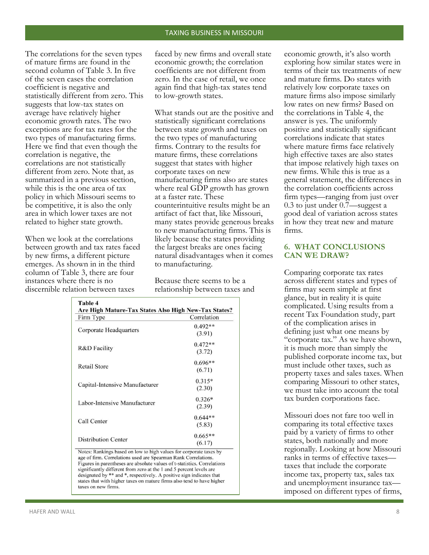The correlations for the seven types of mature firms are found in the second column of Table 3. In five of the seven cases the correlation coefficient is negative and statistically different from zero. This suggests that low-tax states on average have relatively higher economic growth rates. The two exceptions are for tax rates for the two types of manufacturing firms. Here we find that even though the correlation is negative, the correlations are not statistically different from zero. Note that, as summarized in a previous section, while this is the one area of tax policy in which Missouri seems to be competitive, it is also the only area in which lower taxes are not related to higher state growth.

When we look at the correlations between growth and tax rates faced by new firms, a different picture emerges. As shown in in the third column of Table 3, there are four instances where there is no discernible relation between taxes

faced by new firms and overall state economic growth; the correlation coefficients are not different from zero. In the case of retail, we once again find that high-tax states tend to low-growth states.

What stands out are the positive and statistically significant correlations between state growth and taxes on the two types of manufacturing firms. Contrary to the results for mature firms, these correlations suggest that states with higher corporate taxes on new manufacturing firms also are states where real GDP growth has grown at a faster rate. These counterintuitive results might be an artifact of fact that, like Missouri, many states provide generous breaks to new manufacturing firms. This is likely because the states providing the largest breaks are ones facing natural disadvantages when it comes to manufacturing.

Because there seems to be a relationship between taxes and

| Firm Type                      | Correlation |
|--------------------------------|-------------|
|                                | $0.492**$   |
| Corporate Headquarters         | (3.91)      |
|                                | $0.472**$   |
| R&D Facility                   | (3.72)      |
|                                | $0.696**$   |
| <b>Retail Store</b>            | (6.71)      |
|                                | $0.315*$    |
| Capital-Intensive Manufacturer | (2.30)      |
|                                | $0.326*$    |
| Labor-Intensive Manufacturer   | (2.39)      |
| Call Center                    | $0.644**$   |
|                                | (5.83)      |
|                                | $0.665**$   |
| <b>Distribution Center</b>     | (6.17)      |

designated by \*\* and \*, respectively. A positive sign indicates that states that with higher taxes on mature firms also tend to have higher taxes on new firms.

economic growth, it's also worth exploring how similar states were in terms of their tax treatments of new and mature firms. Do states with relatively low corporate taxes on mature firms also impose similarly low rates on new firms? Based on the correlations in Table 4, the answer is yes. The uniformly positive and statistically significant correlations indicate that states where mature firms face relatively high effective taxes are also states that impose relatively high taxes on new firms. While this is true as a general statement, the differences in the correlation coefficients across firm types—ranging from just over 0.3 to just under 0.7—suggest a good deal of variation across states in how they treat new and mature firms.

### **6. WHAT CONCLUSIONS CAN WE DRAW?**

Comparing corporate tax rates across different states and types of firms may seem simple at first glance, but in reality it is quite complicated. Using results from a recent Tax Foundation study, part of the complication arises in defining just what one means by "corporate tax." As we have shown, it is much more than simply the published corporate income tax, but must include other taxes, such as property taxes and sales taxes. When comparing Missouri to other states, we must take into account the total tax burden corporations face.

Missouri does not fare too well in comparing its total effective taxes paid by a variety of firms to other states, both nationally and more regionally. Looking at how Missouri ranks in terms of effective taxes taxes that include the corporate income tax, property tax, sales tax and unemployment insurance tax imposed on different types of firms,